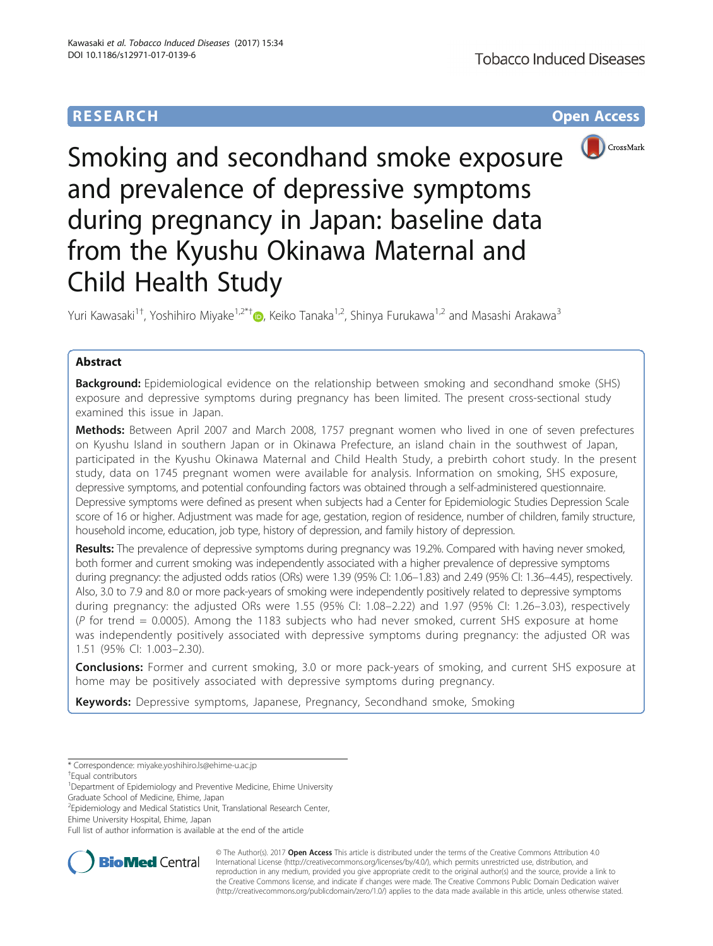

Smoking and secondhand smoke exposure and prevalence of depressive symptoms during pregnancy in Japan: baseline data from the Kyushu Okinawa Maternal and Child Health Study

Yuri Kawasaki<sup>1[†](http://orcid.org/0000-0003-1244-4488)</sup>, Yoshihiro Miyake<sup>1,2\*†</sup>®, Keiko Tanaka<sup>1,2</sup>, Shinya Furukawa<sup>1,2</sup> and Masashi Arakawa<sup>3</sup>

# Abstract

**Background:** Epidemiological evidence on the relationship between smoking and secondhand smoke (SHS) exposure and depressive symptoms during pregnancy has been limited. The present cross-sectional study examined this issue in Japan.

Methods: Between April 2007 and March 2008, 1757 pregnant women who lived in one of seven prefectures on Kyushu Island in southern Japan or in Okinawa Prefecture, an island chain in the southwest of Japan, participated in the Kyushu Okinawa Maternal and Child Health Study, a prebirth cohort study. In the present study, data on 1745 pregnant women were available for analysis. Information on smoking, SHS exposure, depressive symptoms, and potential confounding factors was obtained through a self-administered questionnaire. Depressive symptoms were defined as present when subjects had a Center for Epidemiologic Studies Depression Scale score of 16 or higher. Adjustment was made for age, gestation, region of residence, number of children, family structure, household income, education, job type, history of depression, and family history of depression.

Results: The prevalence of depressive symptoms during pregnancy was 19.2%. Compared with having never smoked, both former and current smoking was independently associated with a higher prevalence of depressive symptoms during pregnancy: the adjusted odds ratios (ORs) were 1.39 (95% CI: 1.06–1.83) and 2.49 (95% CI: 1.36–4.45), respectively. Also, 3.0 to 7.9 and 8.0 or more pack-years of smoking were independently positively related to depressive symptoms during pregnancy: the adjusted ORs were 1.55 (95% CI: 1.08–2.22) and 1.97 (95% CI: 1.26–3.03), respectively ( $P$  for trend = 0.0005). Among the 1183 subjects who had never smoked, current SHS exposure at home was independently positively associated with depressive symptoms during pregnancy: the adjusted OR was 1.51 (95% CI: 1.003–2.30).

**Conclusions:** Former and current smoking, 3.0 or more pack-years of smoking, and current SHS exposure at home may be positively associated with depressive symptoms during pregnancy.

Keywords: Depressive symptoms, Japanese, Pregnancy, Secondhand smoke, Smoking

<sup>2</sup> Epidemiology and Medical Statistics Unit, Translational Research Center, Ehime University Hospital, Ehime, Japan

Full list of author information is available at the end of the article



© The Author(s). 2017 **Open Access** This article is distributed under the terms of the Creative Commons Attribution 4.0 International License [\(http://creativecommons.org/licenses/by/4.0/](http://creativecommons.org/licenses/by/4.0/)), which permits unrestricted use, distribution, and reproduction in any medium, provided you give appropriate credit to the original author(s) and the source, provide a link to the Creative Commons license, and indicate if changes were made. The Creative Commons Public Domain Dedication waiver [\(http://creativecommons.org/publicdomain/zero/1.0/](http://creativecommons.org/publicdomain/zero/1.0/)) applies to the data made available in this article, unless otherwise stated.

<sup>\*</sup> Correspondence: [miyake.yoshihiro.ls@ehime-u.ac.jp](mailto:miyake.yoshihiro.ls@ehime-u.ac.jp) †

<sup>&</sup>lt;sup>†</sup>Faual contributors

<sup>&</sup>lt;sup>1</sup>Department of Epidemiology and Preventive Medicine, Ehime University Graduate School of Medicine, Ehime, Japan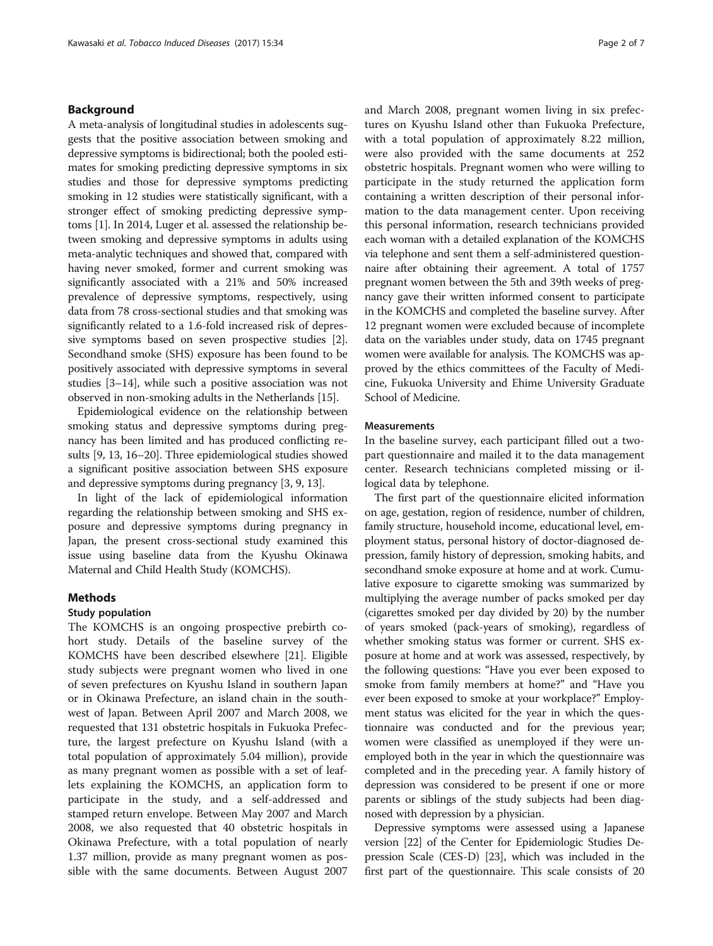# Background

A meta-analysis of longitudinal studies in adolescents suggests that the positive association between smoking and depressive symptoms is bidirectional; both the pooled estimates for smoking predicting depressive symptoms in six studies and those for depressive symptoms predicting smoking in 12 studies were statistically significant, with a stronger effect of smoking predicting depressive symptoms [\[1](#page-5-0)]. In 2014, Luger et al. assessed the relationship between smoking and depressive symptoms in adults using meta-analytic techniques and showed that, compared with having never smoked, former and current smoking was significantly associated with a 21% and 50% increased prevalence of depressive symptoms, respectively, using data from 78 cross-sectional studies and that smoking was significantly related to a 1.6-fold increased risk of depressive symptoms based on seven prospective studies [[2](#page-5-0)]. Secondhand smoke (SHS) exposure has been found to be positively associated with depressive symptoms in several studies [\[3](#page-5-0)–[14\]](#page-5-0), while such a positive association was not observed in non-smoking adults in the Netherlands [\[15\]](#page-5-0).

Epidemiological evidence on the relationship between smoking status and depressive symptoms during pregnancy has been limited and has produced conflicting results [[9, 13](#page-5-0), [16](#page-5-0)–[20](#page-5-0)]. Three epidemiological studies showed a significant positive association between SHS exposure and depressive symptoms during pregnancy [\[3](#page-5-0), [9, 13](#page-5-0)].

In light of the lack of epidemiological information regarding the relationship between smoking and SHS exposure and depressive symptoms during pregnancy in Japan, the present cross-sectional study examined this issue using baseline data from the Kyushu Okinawa Maternal and Child Health Study (KOMCHS).

### Methods

## Study population

The KOMCHS is an ongoing prospective prebirth cohort study. Details of the baseline survey of the KOMCHS have been described elsewhere [[21\]](#page-5-0). Eligible study subjects were pregnant women who lived in one of seven prefectures on Kyushu Island in southern Japan or in Okinawa Prefecture, an island chain in the southwest of Japan. Between April 2007 and March 2008, we requested that 131 obstetric hospitals in Fukuoka Prefecture, the largest prefecture on Kyushu Island (with a total population of approximately 5.04 million), provide as many pregnant women as possible with a set of leaflets explaining the KOMCHS, an application form to participate in the study, and a self-addressed and stamped return envelope. Between May 2007 and March 2008, we also requested that 40 obstetric hospitals in Okinawa Prefecture, with a total population of nearly 1.37 million, provide as many pregnant women as possible with the same documents. Between August 2007 and March 2008, pregnant women living in six prefectures on Kyushu Island other than Fukuoka Prefecture, with a total population of approximately 8.22 million, were also provided with the same documents at 252 obstetric hospitals. Pregnant women who were willing to participate in the study returned the application form containing a written description of their personal information to the data management center. Upon receiving this personal information, research technicians provided each woman with a detailed explanation of the KOMCHS via telephone and sent them a self-administered questionnaire after obtaining their agreement. A total of 1757 pregnant women between the 5th and 39th weeks of pregnancy gave their written informed consent to participate in the KOMCHS and completed the baseline survey. After 12 pregnant women were excluded because of incomplete data on the variables under study, data on 1745 pregnant women were available for analysis. The KOMCHS was approved by the ethics committees of the Faculty of Medicine, Fukuoka University and Ehime University Graduate School of Medicine.

## Measurements

In the baseline survey, each participant filled out a twopart questionnaire and mailed it to the data management center. Research technicians completed missing or illogical data by telephone.

The first part of the questionnaire elicited information on age, gestation, region of residence, number of children, family structure, household income, educational level, employment status, personal history of doctor-diagnosed depression, family history of depression, smoking habits, and secondhand smoke exposure at home and at work. Cumulative exposure to cigarette smoking was summarized by multiplying the average number of packs smoked per day (cigarettes smoked per day divided by 20) by the number of years smoked (pack-years of smoking), regardless of whether smoking status was former or current. SHS exposure at home and at work was assessed, respectively, by the following questions: "Have you ever been exposed to smoke from family members at home?" and "Have you ever been exposed to smoke at your workplace?" Employment status was elicited for the year in which the questionnaire was conducted and for the previous year; women were classified as unemployed if they were unemployed both in the year in which the questionnaire was completed and in the preceding year. A family history of depression was considered to be present if one or more parents or siblings of the study subjects had been diagnosed with depression by a physician.

Depressive symptoms were assessed using a Japanese version [\[22\]](#page-5-0) of the Center for Epidemiologic Studies Depression Scale (CES-D) [\[23\]](#page-5-0), which was included in the first part of the questionnaire. This scale consists of 20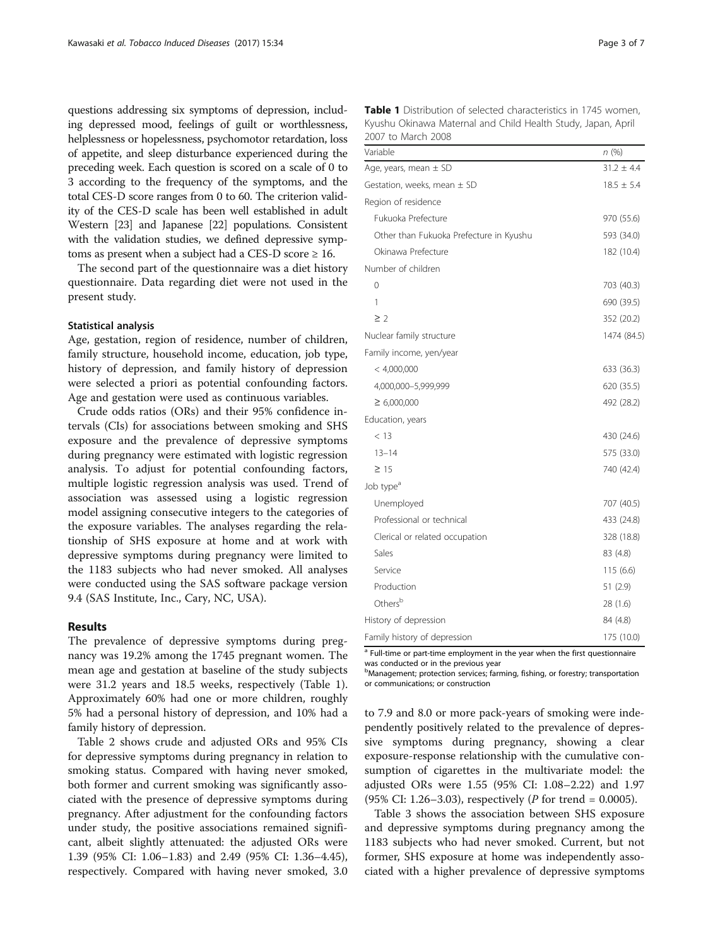questions addressing six symptoms of depression, including depressed mood, feelings of guilt or worthlessness, helplessness or hopelessness, psychomotor retardation, loss of appetite, and sleep disturbance experienced during the preceding week. Each question is scored on a scale of 0 to 3 according to the frequency of the symptoms, and the total CES-D score ranges from 0 to 60. The criterion validity of the CES-D scale has been well established in adult Western [\[23](#page-5-0)] and Japanese [[22](#page-5-0)] populations. Consistent with the validation studies, we defined depressive symptoms as present when a subject had a CES-D score  $\geq 16$ .

The second part of the questionnaire was a diet history questionnaire. Data regarding diet were not used in the present study.

## Statistical analysis

Age, gestation, region of residence, number of children, family structure, household income, education, job type, history of depression, and family history of depression were selected a priori as potential confounding factors. Age and gestation were used as continuous variables.

Crude odds ratios (ORs) and their 95% confidence intervals (CIs) for associations between smoking and SHS exposure and the prevalence of depressive symptoms during pregnancy were estimated with logistic regression analysis. To adjust for potential confounding factors, multiple logistic regression analysis was used. Trend of association was assessed using a logistic regression model assigning consecutive integers to the categories of the exposure variables. The analyses regarding the relationship of SHS exposure at home and at work with depressive symptoms during pregnancy were limited to the 1183 subjects who had never smoked. All analyses were conducted using the SAS software package version 9.4 (SAS Institute, Inc., Cary, NC, USA).

# Results

The prevalence of depressive symptoms during pregnancy was 19.2% among the 1745 pregnant women. The mean age and gestation at baseline of the study subjects were 31.2 years and 18.5 weeks, respectively (Table 1). Approximately 60% had one or more children, roughly 5% had a personal history of depression, and 10% had a family history of depression.

Table [2](#page-3-0) shows crude and adjusted ORs and 95% CIs for depressive symptoms during pregnancy in relation to smoking status. Compared with having never smoked, both former and current smoking was significantly associated with the presence of depressive symptoms during pregnancy. After adjustment for the confounding factors under study, the positive associations remained significant, albeit slightly attenuated: the adjusted ORs were 1.39 (95% CI: 1.06–1.83) and 2.49 (95% CI: 1.36–4.45), respectively. Compared with having never smoked, 3.0

| Table 1 Distribution of selected characteristics in 1745 women, |
|-----------------------------------------------------------------|
| Kyushu Okinawa Maternal and Child Health Study, Japan, April    |
| 2007 to March 2008                                              |

| Variable                                | n(%)           |
|-----------------------------------------|----------------|
| Age, years, mean ± SD                   | $31.2 \pm 4.4$ |
| Gestation, weeks, mean $\pm$ SD         | $18.5 \pm 5.4$ |
| Region of residence                     |                |
| Fukuoka Prefecture                      | 970 (55.6)     |
| Other than Fukuoka Prefecture in Kyushu | 593 (34.0)     |
| Okinawa Prefecture                      | 182 (10.4)     |
| Number of children                      |                |
| 0                                       | 703 (40.3)     |
| 1                                       | 690 (39.5)     |
| $\geq$ 2                                | 352 (20.2)     |
| Nuclear family structure                | 1474 (84.5)    |
| Family income, yen/year                 |                |
| < 4,000,000                             | 633 (36.3)     |
| 4,000,000-5,999,999                     | 620 (35.5)     |
| $\geq 6,000,000$                        | 492 (28.2)     |
| Education, years                        |                |
| < 13                                    | 430 (24.6)     |
| $13 - 14$                               | 575 (33.0)     |
| $\geq$ 15                               | 740 (42.4)     |
| Job type <sup>a</sup>                   |                |
| Unemployed                              | 707 (40.5)     |
| Professional or technical               | 433 (24.8)     |
| Clerical or related occupation          | 328 (18.8)     |
| Sales                                   | 83 (4.8)       |
| Service                                 | 115 (6.6)      |
| Production                              | 51 (2.9)       |
| Others <sup>b</sup>                     | 28 (1.6)       |
| History of depression                   | 84 (4.8)       |
| Family history of depression            | 175 (10.0)     |

<sup>a</sup> Full-time or part-time employment in the year when the first questionnaire was conducted or in the previous year

**bManagement; protection services; farming, fishing, or forestry; transportation** or communications; or construction

to 7.9 and 8.0 or more pack-years of smoking were independently positively related to the prevalence of depressive symptoms during pregnancy, showing a clear exposure-response relationship with the cumulative consumption of cigarettes in the multivariate model: the adjusted ORs were 1.55 (95% CI: 1.08–2.22) and 1.97 (95% CI: 1.26–3.03), respectively (*P* for trend = 0.0005).

Table [3](#page-3-0) shows the association between SHS exposure and depressive symptoms during pregnancy among the 1183 subjects who had never smoked. Current, but not former, SHS exposure at home was independently associated with a higher prevalence of depressive symptoms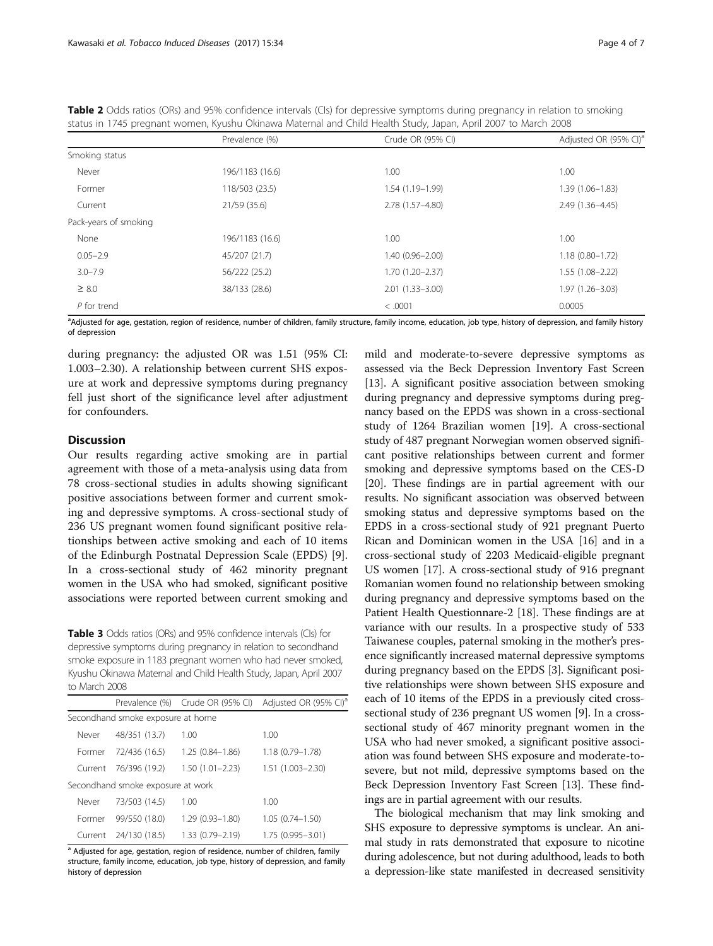<span id="page-3-0"></span>

| Table 2 Odds ratios (ORs) and 95% confidence intervals (CIs) for depressive symptoms during pregnancy in relation to smoking |  |
|------------------------------------------------------------------------------------------------------------------------------|--|
| status in 1745 pregnant women, Kyushu Okinawa Maternal and Child Health Study, Japan, April 2007 to March 2008               |  |

|                       | Prevalence (%)  | Crude OR (95% CI)   | Adjusted OR (95% CI) <sup>a</sup> |
|-----------------------|-----------------|---------------------|-----------------------------------|
| Smoking status        |                 |                     |                                   |
| Never                 | 196/1183 (16.6) | 1.00                | 1.00                              |
| Former                | 118/503 (23.5)  | $1.54(1.19 - 1.99)$ | $1.39(1.06 - 1.83)$               |
| Current               | 21/59 (35.6)    | 2.78 (1.57-4.80)    | 2.49 (1.36-4.45)                  |
| Pack-years of smoking |                 |                     |                                   |
| None                  | 196/1183 (16.6) | 1.00                | 1.00                              |
| $0.05 - 2.9$          | 45/207 (21.7)   | $1.40(0.96 - 2.00)$ | $1.18(0.80 - 1.72)$               |
| $3.0 - 7.9$           | 56/222 (25.2)   | $1.70(1.20 - 2.37)$ | $1.55(1.08 - 2.22)$               |
| $\geq 8.0$            | 38/133 (28.6)   | $2.01(1.33 - 3.00)$ | $1.97(1.26 - 3.03)$               |
| P for trend           |                 | < .0001             | 0.0005                            |

a<br>Adjusted for age, gestation, region of residence, number of children, family structure, family income, education, job type, history of depression, and family history of depression

during pregnancy: the adjusted OR was 1.51 (95% CI: 1.003–2.30). A relationship between current SHS exposure at work and depressive symptoms during pregnancy fell just short of the significance level after adjustment for confounders.

# **Discussion**

Our results regarding active smoking are in partial agreement with those of a meta-analysis using data from 78 cross-sectional studies in adults showing significant positive associations between former and current smoking and depressive symptoms. A cross-sectional study of 236 US pregnant women found significant positive relationships between active smoking and each of 10 items of the Edinburgh Postnatal Depression Scale (EPDS) [\[9](#page-5-0)]. In a cross-sectional study of 462 minority pregnant women in the USA who had smoked, significant positive associations were reported between current smoking and

Table 3 Odds ratios (ORs) and 95% confidence intervals (CIs) for depressive symptoms during pregnancy in relation to secondhand smoke exposure in 1183 pregnant women who had never smoked, Kyushu Okinawa Maternal and Child Health Study, Japan, April 2007 to March 2008

|                                   |                                   | Prevalence (%) Crude OR (95% CI) | Adjusted OR (95% CI) <sup>a</sup> |  |
|-----------------------------------|-----------------------------------|----------------------------------|-----------------------------------|--|
|                                   | Secondhand smoke exposure at home |                                  |                                   |  |
| Never                             | 48/351 (13.7)                     | 1.00                             | 1.00                              |  |
|                                   | Former 72/436 (16.5)              | $1.25(0.84 - 1.86)$              | $1.18(0.79 - 1.78)$               |  |
|                                   | Current 76/396 (19.2)             | $1.50(1.01 - 2.23)$              | 1.51 (1.003-2.30)                 |  |
| Secondhand smoke exposure at work |                                   |                                  |                                   |  |
| Never                             | 73/503 (14.5)                     | 1.00                             | 1.00                              |  |
| Former                            | 99/550 (18.0)                     | $1.29(0.93 - 1.80)$              | $1.05(0.74 - 1.50)$               |  |
|                                   | Current 24/130 (18.5)             | $1.33(0.79 - 2.19)$              | 1.75 (0.995-3.01)                 |  |
|                                   |                                   |                                  |                                   |  |

<sup>a</sup> Adjusted for age, gestation, region of residence, number of children, family structure, family income, education, job type, history of depression, and family history of depression

mild and moderate-to-severe depressive symptoms as assessed via the Beck Depression Inventory Fast Screen [[13](#page-5-0)]. A significant positive association between smoking during pregnancy and depressive symptoms during pregnancy based on the EPDS was shown in a cross-sectional study of 1264 Brazilian women [\[19\]](#page-5-0). A cross-sectional study of 487 pregnant Norwegian women observed significant positive relationships between current and former smoking and depressive symptoms based on the CES-D [[20](#page-5-0)]. These findings are in partial agreement with our results. No significant association was observed between smoking status and depressive symptoms based on the EPDS in a cross-sectional study of 921 pregnant Puerto Rican and Dominican women in the USA [[16](#page-5-0)] and in a cross-sectional study of 2203 Medicaid-eligible pregnant US women [[17](#page-5-0)]. A cross-sectional study of 916 pregnant Romanian women found no relationship between smoking during pregnancy and depressive symptoms based on the Patient Health Questionnare-2 [\[18\]](#page-5-0). These findings are at variance with our results. In a prospective study of 533 Taiwanese couples, paternal smoking in the mother's presence significantly increased maternal depressive symptoms during pregnancy based on the EPDS [\[3\]](#page-5-0). Significant positive relationships were shown between SHS exposure and each of 10 items of the EPDS in a previously cited crosssectional study of 236 pregnant US women [\[9](#page-5-0)]. In a crosssectional study of 467 minority pregnant women in the USA who had never smoked, a significant positive association was found between SHS exposure and moderate-tosevere, but not mild, depressive symptoms based on the Beck Depression Inventory Fast Screen [[13](#page-5-0)]. These findings are in partial agreement with our results.

The biological mechanism that may link smoking and SHS exposure to depressive symptoms is unclear. An animal study in rats demonstrated that exposure to nicotine during adolescence, but not during adulthood, leads to both a depression-like state manifested in decreased sensitivity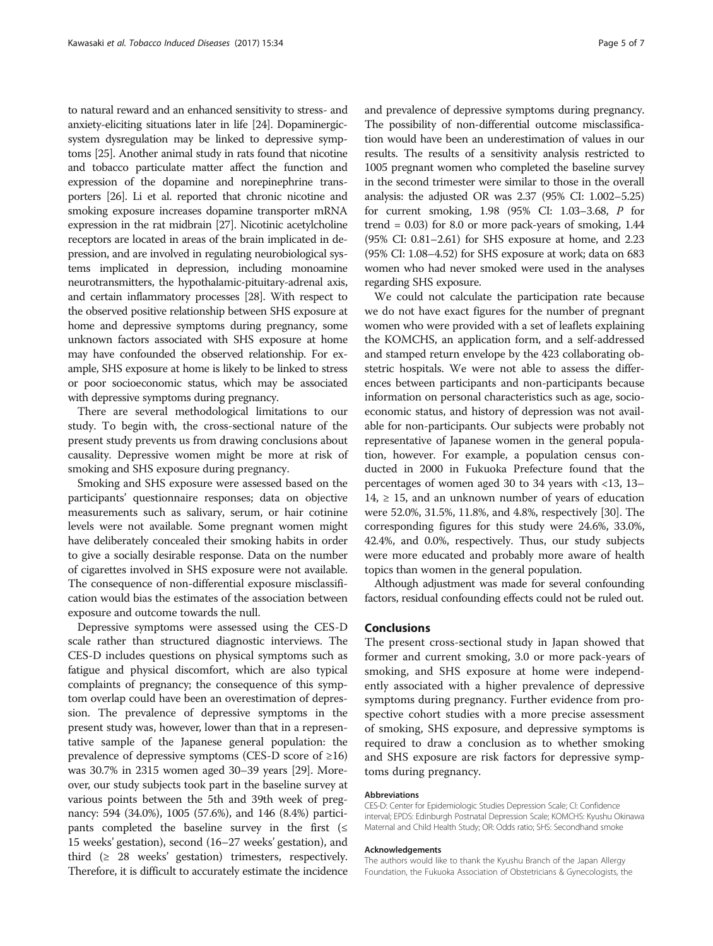to natural reward and an enhanced sensitivity to stress- and anxiety-eliciting situations later in life [[24](#page-5-0)]. Dopaminergicsystem dysregulation may be linked to depressive symptoms [\[25](#page-5-0)]. Another animal study in rats found that nicotine and tobacco particulate matter affect the function and expression of the dopamine and norepinephrine transporters [\[26](#page-5-0)]. Li et al. reported that chronic nicotine and smoking exposure increases dopamine transporter mRNA expression in the rat midbrain [\[27\]](#page-5-0). Nicotinic acetylcholine receptors are located in areas of the brain implicated in depression, and are involved in regulating neurobiological systems implicated in depression, including monoamine neurotransmitters, the hypothalamic-pituitary-adrenal axis, and certain inflammatory processes [\[28\]](#page-5-0). With respect to the observed positive relationship between SHS exposure at home and depressive symptoms during pregnancy, some unknown factors associated with SHS exposure at home may have confounded the observed relationship. For example, SHS exposure at home is likely to be linked to stress or poor socioeconomic status, which may be associated with depressive symptoms during pregnancy.

There are several methodological limitations to our study. To begin with, the cross-sectional nature of the present study prevents us from drawing conclusions about causality. Depressive women might be more at risk of smoking and SHS exposure during pregnancy.

Smoking and SHS exposure were assessed based on the participants' questionnaire responses; data on objective measurements such as salivary, serum, or hair cotinine levels were not available. Some pregnant women might have deliberately concealed their smoking habits in order to give a socially desirable response. Data on the number of cigarettes involved in SHS exposure were not available. The consequence of non-differential exposure misclassification would bias the estimates of the association between exposure and outcome towards the null.

Depressive symptoms were assessed using the CES-D scale rather than structured diagnostic interviews. The CES-D includes questions on physical symptoms such as fatigue and physical discomfort, which are also typical complaints of pregnancy; the consequence of this symptom overlap could have been an overestimation of depression. The prevalence of depressive symptoms in the present study was, however, lower than that in a representative sample of the Japanese general population: the prevalence of depressive symptoms (CES-D score of ≥16) was 30.7% in 2315 women aged 30–39 years [[29](#page-5-0)]. Moreover, our study subjects took part in the baseline survey at various points between the 5th and 39th week of pregnancy: 594 (34.0%), 1005 (57.6%), and 146 (8.4%) participants completed the baseline survey in the first  $(≤$ 15 weeks' gestation), second (16–27 weeks' gestation), and third  $(≥ 28$  weeks' gestation) trimesters, respectively. Therefore, it is difficult to accurately estimate the incidence and prevalence of depressive symptoms during pregnancy. The possibility of non-differential outcome misclassification would have been an underestimation of values in our results. The results of a sensitivity analysis restricted to 1005 pregnant women who completed the baseline survey in the second trimester were similar to those in the overall analysis: the adjusted OR was 2.37 (95% CI: 1.002–5.25) for current smoking, 1.98 (95% CI: 1.03–3.68, P for trend =  $0.03$ ) for 8.0 or more pack-years of smoking, 1.44 (95% CI: 0.81–2.61) for SHS exposure at home, and 2.23 (95% CI: 1.08–4.52) for SHS exposure at work; data on 683 women who had never smoked were used in the analyses regarding SHS exposure.

We could not calculate the participation rate because we do not have exact figures for the number of pregnant women who were provided with a set of leaflets explaining the KOMCHS, an application form, and a self-addressed and stamped return envelope by the 423 collaborating obstetric hospitals. We were not able to assess the differences between participants and non-participants because information on personal characteristics such as age, socioeconomic status, and history of depression was not available for non-participants. Our subjects were probably not representative of Japanese women in the general population, however. For example, a population census conducted in 2000 in Fukuoka Prefecture found that the percentages of women aged 30 to 34 years with <13, 13–  $14, \geq 15$ , and an unknown number of years of education were 52.0%, 31.5%, 11.8%, and 4.8%, respectively [\[30\]](#page-6-0). The corresponding figures for this study were 24.6%, 33.0%, 42.4%, and 0.0%, respectively. Thus, our study subjects were more educated and probably more aware of health topics than women in the general population.

Although adjustment was made for several confounding factors, residual confounding effects could not be ruled out.

## Conclusions

The present cross-sectional study in Japan showed that former and current smoking, 3.0 or more pack-years of smoking, and SHS exposure at home were independently associated with a higher prevalence of depressive symptoms during pregnancy. Further evidence from prospective cohort studies with a more precise assessment of smoking, SHS exposure, and depressive symptoms is required to draw a conclusion as to whether smoking and SHS exposure are risk factors for depressive symptoms during pregnancy.

## Abbreviations

CES-D: Center for Epidemiologic Studies Depression Scale; CI: Confidence interval; EPDS: Edinburgh Postnatal Depression Scale; KOMCHS: Kyushu Okinawa Maternal and Child Health Study; OR: Odds ratio; SHS: Secondhand smoke

#### Acknowledgements

The authors would like to thank the Kyushu Branch of the Japan Allergy Foundation, the Fukuoka Association of Obstetricians & Gynecologists, the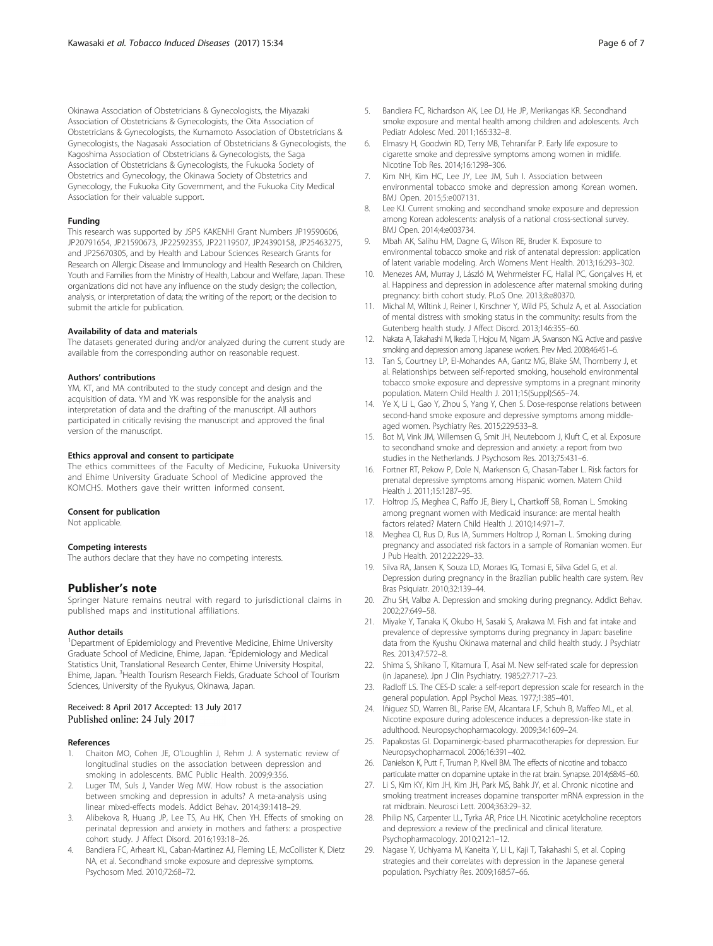<span id="page-5-0"></span>Okinawa Association of Obstetricians & Gynecologists, the Miyazaki Association of Obstetricians & Gynecologists, the Oita Association of Obstetricians & Gynecologists, the Kumamoto Association of Obstetricians & Gynecologists, the Nagasaki Association of Obstetricians & Gynecologists, the Kagoshima Association of Obstetricians & Gynecologists, the Saga Association of Obstetricians & Gynecologists, the Fukuoka Society of Obstetrics and Gynecology, the Okinawa Society of Obstetrics and Gynecology, the Fukuoka City Government, and the Fukuoka City Medical Association for their valuable support.

### Funding

This research was supported by JSPS KAKENHI Grant Numbers JP19590606, JP20791654, JP21590673, JP22592355, JP22119507, JP24390158, JP25463275, and JP25670305, and by Health and Labour Sciences Research Grants for Research on Allergic Disease and Immunology and Health Research on Children, Youth and Families from the Ministry of Health, Labour and Welfare, Japan. These organizations did not have any influence on the study design; the collection, analysis, or interpretation of data; the writing of the report; or the decision to submit the article for publication.

#### Availability of data and materials

The datasets generated during and/or analyzed during the current study are available from the corresponding author on reasonable request.

#### Authors' contributions

YM, KT, and MA contributed to the study concept and design and the acquisition of data. YM and YK was responsible for the analysis and interpretation of data and the drafting of the manuscript. All authors participated in critically revising the manuscript and approved the final version of the manuscript.

#### Ethics approval and consent to participate

The ethics committees of the Faculty of Medicine, Fukuoka University and Ehime University Graduate School of Medicine approved the KOMCHS. Mothers gave their written informed consent.

#### Consent for publication

Not applicable.

#### Competing interests

The authors declare that they have no competing interests.

### Publisher's note

Springer Nature remains neutral with regard to jurisdictional claims in published maps and institutional affiliations.

#### Author details

<sup>1</sup>Department of Epidemiology and Preventive Medicine, Ehime University Graduate School of Medicine, Ehime, Japan. <sup>2</sup>Epidemiology and Medical Statistics Unit, Translational Research Center, Ehime University Hospital, Ehime, Japan. <sup>3</sup>Health Tourism Research Fields, Graduate School of Tourism Sciences, University of the Ryukyus, Okinawa, Japan.

## Received: 8 April 2017 Accepted: 13 July 2017 Published online: 24 July 2017

#### References

- 1. Chaiton MO, Cohen JE, O'Loughlin J, Rehm J. A systematic review of longitudinal studies on the association between depression and smoking in adolescents. BMC Public Health. 2009;9:356.
- 2. Luger TM, Suls J, Vander Weg MW. How robust is the association between smoking and depression in adults? A meta-analysis using linear mixed-effects models. Addict Behav. 2014;39:1418–29.
- 3. Alibekova R, Huang JP, Lee TS, Au HK, Chen YH. Effects of smoking on perinatal depression and anxiety in mothers and fathers: a prospective cohort study. J Affect Disord. 2016;193:18–26.
- 4. Bandiera FC, Arheart KL, Caban-Martinez AJ, Fleming LE, McCollister K, Dietz NA, et al. Secondhand smoke exposure and depressive symptoms. Psychosom Med. 2010;72:68–72.
- 6. Elmasry H, Goodwin RD, Terry MB, Tehranifar P. Early life exposure to cigarette smoke and depressive symptoms among women in midlife. Nicotine Tob Res. 2014;16:1298–306.
- Kim NH, Kim HC, Lee JY, Lee JM, Suh I. Association between environmental tobacco smoke and depression among Korean women. BMJ Open. 2015;5:e007131.
- 8. Lee KJ. Current smoking and secondhand smoke exposure and depression among Korean adolescents: analysis of a national cross-sectional survey. BMJ Open. 2014;4:e003734.
- 9. Mbah AK, Salihu HM, Dagne G, Wilson RE, Bruder K. Exposure to environmental tobacco smoke and risk of antenatal depression: application of latent variable modeling. Arch Womens Ment Health. 2013;16:293–302.
- 10. Menezes AM, Murray J, László M, Wehrmeister FC, Hallal PC, Gonçalves H, et al. Happiness and depression in adolescence after maternal smoking during pregnancy: birth cohort study. PLoS One. 2013;8:e80370.
- 11. Michal M, Wiltink J, Reiner I, Kirschner Y, Wild PS, Schulz A, et al. Association of mental distress with smoking status in the community: results from the Gutenberg health study. J Affect Disord. 2013;146:355–60.
- 12. Nakata A, Takahashi M, Ikeda T, Hojou M, Nigam JA, Swanson NG. Active and passive smoking and depression among Japanese workers. Prev Med. 2008;46:451–6.
- 13. Tan S, Courtney LP, El-Mohandes AA, Gantz MG, Blake SM, Thornberry J, et al. Relationships between self-reported smoking, household environmental tobacco smoke exposure and depressive symptoms in a pregnant minority population. Matern Child Health J. 2011;15(Suppl):S65–74.
- 14. Ye X, Li L, Gao Y, Zhou S, Yang Y, Chen S. Dose-response relations between second-hand smoke exposure and depressive symptoms among middleaged women. Psychiatry Res. 2015;229:533–8.
- 15. Bot M, Vink JM, Willemsen G, Smit JH, Neuteboom J, Kluft C, et al. Exposure to secondhand smoke and depression and anxiety: a report from two studies in the Netherlands. J Psychosom Res. 2013;75:431–6.
- 16. Fortner RT, Pekow P, Dole N, Markenson G, Chasan-Taber L. Risk factors for prenatal depressive symptoms among Hispanic women. Matern Child Health J. 2011;15:1287–95.
- 17. Holtrop JS, Meghea C, Raffo JE, Biery L, Chartkoff SB, Roman L. Smoking among pregnant women with Medicaid insurance: are mental health factors related? Matern Child Health J. 2010;14:971–7.
- 18. Meghea CI, Rus D, Rus IA, Summers Holtrop J, Roman L. Smoking during pregnancy and associated risk factors in a sample of Romanian women. Eur J Pub Health. 2012;22:229–33.
- 19. Silva RA, Jansen K, Souza LD, Moraes IG, Tomasi E, Silva Gdel G, et al. Depression during pregnancy in the Brazilian public health care system. Rev Bras Psiquiatr. 2010;32:139–44.
- 20. Zhu SH, Valbø A. Depression and smoking during pregnancy. Addict Behav. 2002;27:649–58.
- 21. Miyake Y, Tanaka K, Okubo H, Sasaki S, Arakawa M. Fish and fat intake and prevalence of depressive symptoms during pregnancy in Japan: baseline data from the Kyushu Okinawa maternal and child health study. J Psychiatr Res. 2013;47:572–8.
- 22. Shima S, Shikano T, Kitamura T, Asai M. New self-rated scale for depression (in Japanese). Jpn J Clin Psychiatry. 1985;27:717–23.
- 23. Radloff LS. The CES-D scale: a self-report depression scale for research in the general population. Appl Psychol Meas. 1977;1:385–401.
- 24. Iñiguez SD, Warren BL, Parise EM, Alcantara LF, Schuh B, Maffeo ML, et al. Nicotine exposure during adolescence induces a depression-like state in adulthood. Neuropsychopharmacology. 2009;34:1609–24.
- 25. Papakostas GI. Dopaminergic-based pharmacotherapies for depression. Eur Neuropsychopharmacol. 2006;16:391–402.
- 26. Danielson K, Putt F, Truman P, Kivell BM. The effects of nicotine and tobacco particulate matter on dopamine uptake in the rat brain. Synapse. 2014;68:45–60.
- 27. Li S, Kim KY, Kim JH, Kim JH, Park MS, Bahk JY, et al. Chronic nicotine and smoking treatment increases dopamine transporter mRNA expression in the rat midbrain. Neurosci Lett. 2004;363:29–32.
- 28. Philip NS, Carpenter LL, Tyrka AR, Price LH. Nicotinic acetylcholine receptors and depression: a review of the preclinical and clinical literature. Psychopharmacology. 2010;212:1–12.
- 29. Nagase Y, Uchiyama M, Kaneita Y, Li L, Kaji T, Takahashi S, et al. Coping strategies and their correlates with depression in the Japanese general population. Psychiatry Res. 2009;168:57–66.